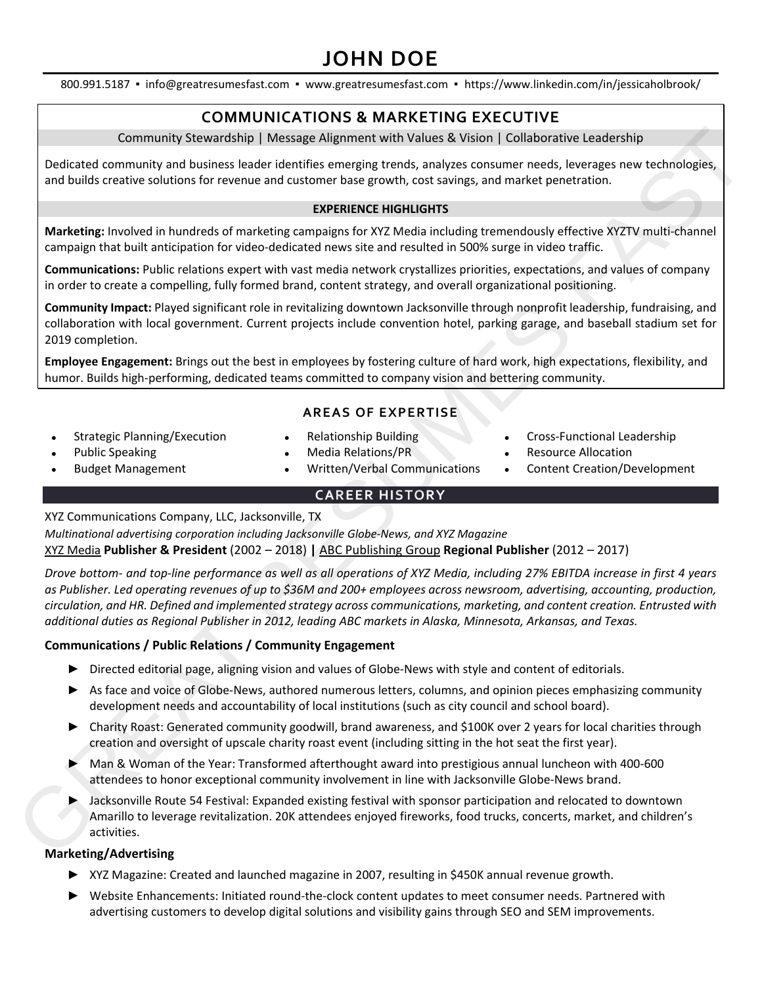# **JOHN DOE**

800.991.5187 ▪ info@greatresumesfast.com ▪ www.greatresumesfast.com ▪ https://www.linkedin.com/in/jessicaholbrook/

# **COMMUNICATIONS & MARKETING EXECUTIVE**

Community Stewardship | Message Alignment with Values & Vision | Collaborative Leadership

Dedicated community and business leader identifies emerging trends, analyzes consumer needs, leverages new technologies, and builds creative solutions for revenue and customer base growth, cost savings, and market penetration.

## **EXPERIENCE HIGHLIGHTS**

**Marketing:** Involved in hundreds of marketing campaigns for XYZ Media including tremendously effective XYZTV multi-channel campaign that built anticipation for video-dedicated news site and resulted in 500% surge in video traffic.

**Communications:** Public relations expert with vast media network crystallizes priorities, expectations, and values of company in order to create a compelling, fully formed brand, content strategy, and overall organizational positioning.

**Community Impact:** Played significant role in revitalizing downtown Jacksonville through nonprofit leadership, fundraising, and collaboration with local government. Current projects include convention hotel, parking garage, and baseball stadium set for 2019 completion.

**Employee Engagement:** Brings out the best in employees by fostering culture of hard work, high expectations, flexibility, and humor. Builds high-performing, dedicated teams committed to company vision and bettering community.

# **AREAS OF EXPERTISE**

- Strategic Planning/Execution
- Relationship Building
- Cross-Functional Leadership

• Content Creation/Development

• Resource Allocation

- Public Speaking • Budget Management
- Media Relations/PR
- Written/Verbal Communications

# **CAREER HISTORY**

XYZ Communications Company, LLC, Jacksonville, TX

*Multinational advertising corporation including Jacksonville Globe-News, and XYZ Magazine* XYZ Media **Publisher & President** (2002 – 2018) **|** ABC Publishing Group **Regional Publisher** (2012 – 2017)

*Drove bottom- and top-line performance as well as all operations of XYZ Media, including 27% EBITDA increase in first 4 years as Publisher. Led operating revenues of up to \$36M and 200+ employees across newsroom, advertising, accounting, production, circulation, and HR. Defined and implemented strategy across communications, marketing, and content creation. Entrusted with additional duties as Regional Publisher in 2012, leading ABC markets in Alaska, Minnesota, Arkansas, and Texas.* Contentrainty Stewartschip | Message Aligameent with Vultures & Vistion | Collaborative Leadership<br>
and bullis creates bullion the results are then the first content in the results and the results of the content in the co

## **Communications / Public Relations / Community Engagement**

- ► Directed editorial page, aligning vision and values of Globe-News with style and content of editorials.
- ► As face and voice of Globe-News, authored numerous letters, columns, and opinion pieces emphasizing community development needs and accountability of local institutions (such as city council and school board).
- ► Charity Roast: Generated community goodwill, brand awareness, and \$100K over 2 years for local charities through creation and oversight of upscale charity roast event (including sitting in the hot seat the first year).
- ► Man & Woman of the Year: Transformed afterthought award into prestigious annual luncheon with 400-600 attendees to honor exceptional community involvement in line with Jacksonville Globe-News brand.
- ► Jacksonville Route 54 Festival: Expanded existing festival with sponsor participation and relocated to downtown Amarillo to leverage revitalization. 20K attendees enjoyed fireworks, food trucks, concerts, market, and children's activities.

## **Marketing/Advertising**

- ► XYZ Magazine: Created and launched magazine in 2007, resulting in \$450K annual revenue growth.
- ► Website Enhancements: Initiated round-the-clock content updates to meet consumer needs. Partnered with advertising customers to develop digital solutions and visibility gains through SEO and SEM improvements.